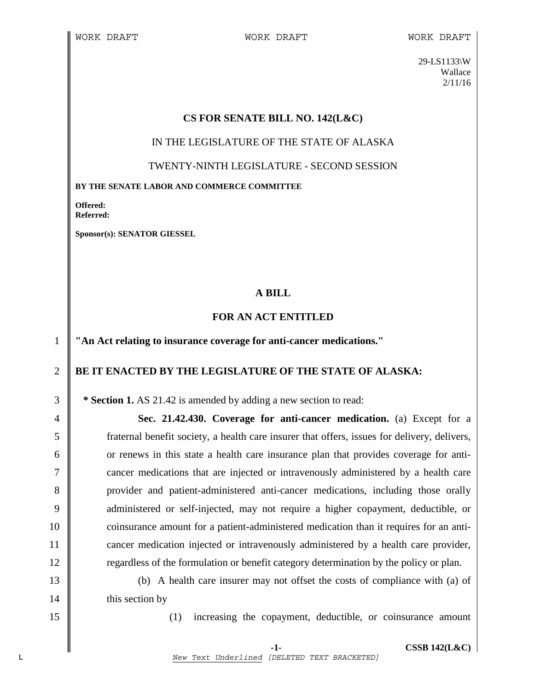29-LS1133\W Wallace 2/11/16

## **CS FOR SENATE BILL NO. 142(L&C)**

IN THE LEGISLATURE OF THE STATE OF ALASKA

TWENTY-NINTH LEGISLATURE - SECOND SESSION

**BY THE SENATE LABOR AND COMMERCE COMMITTEE** 

**Offered: Referred:** 

**Sponsor(s): SENATOR GIESSEL** 

## **A BILL**

## **FOR AN ACT ENTITLED**

1 **"An Act relating to insurance coverage for anti-cancer medications."** 

## 2 **BE IT ENACTED BY THE LEGISLATURE OF THE STATE OF ALASKA:**

3 **\* Section 1.** AS 21.42 is amended by adding a new section to read:

4 **Sec. 21.42.430. Coverage for anti-cancer medication.** (a) Except for a 5 fraternal benefit society, a health care insurer that offers, issues for delivery, delivers, 6 or renews in this state a health care insurance plan that provides coverage for anti-7 cancer medications that are injected or intravenously administered by a health care 8 provider and patient-administered anti-cancer medications, including those orally 9 deministered or self-injected, may not require a higher copayment, deductible, or 10 coinsurance amount for a patient-administered medication than it requires for an anti-11 **cancer medication injected or intravenously administered by a health care provider,** 12 **Figure 12** regardless of the formulation or benefit category determination by the policy or plan.

13 (b) A health care insurer may not offset the costs of compliance with (a) of 14 | this section by

15 (1) increasing the copayment, deductible, or coinsurance amount